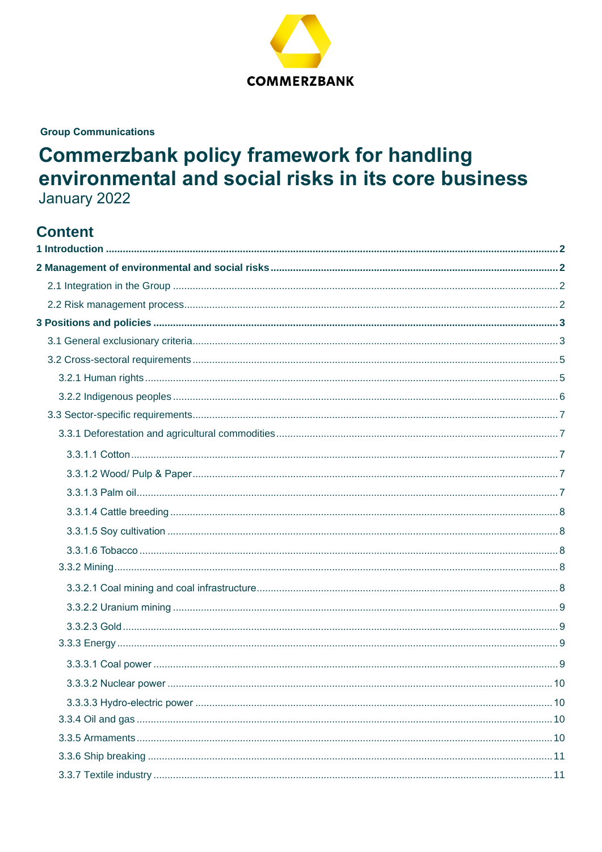

**Group Communications** 

# **Commerzbank policy framework for handling** environmental and social risks in its core business January 2022

# **Content**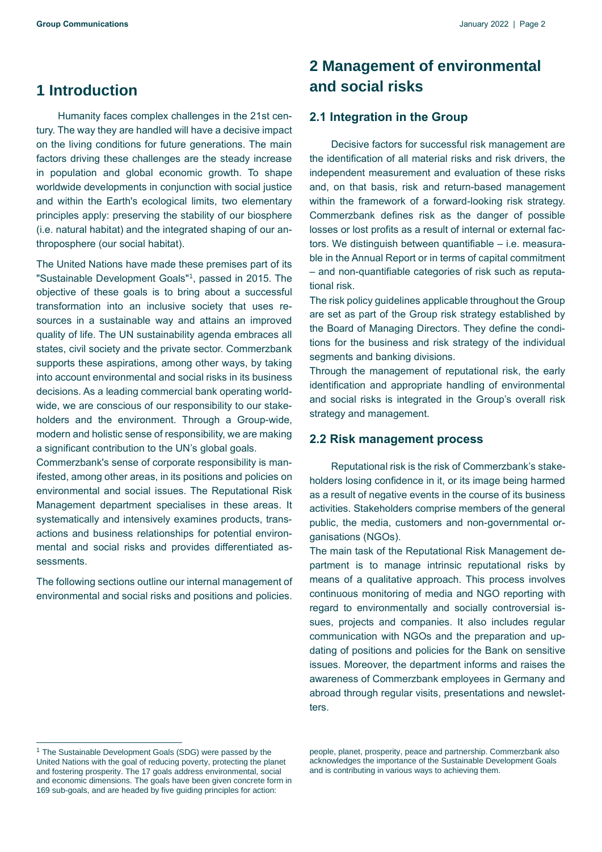# <span id="page-1-0"></span>**1 Introduction**

Humanity faces complex challenges in the 21st century. The way they are handled will have a decisive impact on the living conditions for future generations. The main factors driving these challenges are the steady increase in population and global economic growth. To shape worldwide developments in conjunction with social justice and within the Earth's ecological limits, two elementary principles apply: preserving the stability of our biosphere (i.e. natural habitat) and the integrated shaping of our anthroposphere (our social habitat).

The United Nations have made these premises part of its "Sustainable Development Goals"<sup>1</sup> , passed in 2015. The objective of these goals is to bring about a successful transformation into an inclusive society that uses resources in a sustainable way and attains an improved quality of life. The UN sustainability agenda embraces all states, civil society and the private sector. Commerzbank supports these aspirations, among other ways, by taking into account environmental and social risks in its business decisions. As a leading commercial bank operating worldwide, we are conscious of our responsibility to our stakeholders and the environment. Through a Group-wide, modern and holistic sense of responsibility, we are making a significant contribution to the UN's global goals.

Commerzbank's sense of corporate responsibility is manifested, among other areas, in its positions and policies on environmental and social issues. The Reputational Risk Management department specialises in these areas. It systematically and intensively examines products, transactions and business relationships for potential environmental and social risks and provides differentiated assessments.

The following sections outline our internal management of environmental and social risks and positions and policies.

# <span id="page-1-1"></span>**2 Management of environmental and social risks**

# <span id="page-1-2"></span>**2.1 Integration in the Group**

Decisive factors for successful risk management are the identification of all material risks and risk drivers, the independent measurement and evaluation of these risks and, on that basis, risk and return-based management within the framework of a forward-looking risk strategy. Commerzbank defines risk as the danger of possible losses or lost profits as a result of internal or external factors. We distinguish between quantifiable – i.e. measurable in the Annual Report or in terms of capital commitment – and non-quantifiable categories of risk such as reputational risk.

The risk policy guidelines applicable throughout the Group are set as part of the Group risk strategy established by the Board of Managing Directors. They define the conditions for the business and risk strategy of the individual segments and banking divisions.

Through the management of reputational risk, the early identification and appropriate handling of environmental and social risks is integrated in the Group's overall risk strategy and management.

#### <span id="page-1-3"></span>**2.2 Risk management process**

Reputational risk is the risk of Commerzbank's stakeholders losing confidence in it, or its image being harmed as a result of negative events in the course of its business activities. Stakeholders comprise members of the general public, the media, customers and non-governmental organisations (NGOs).

The main task of the Reputational Risk Management department is to manage intrinsic reputational risks by means of a qualitative approach. This process involves continuous monitoring of media and NGO reporting with regard to environmentally and socially controversial issues, projects and companies. It also includes regular communication with NGOs and the preparation and updating of positions and policies for the Bank on sensitive issues. Moreover, the department informs and raises the awareness of Commerzbank employees in Germany and abroad through regular visits, presentations and newsletters.

people, planet, prosperity, peace and partnership. Commerzbank also acknowledges the importance of the Sustainable Development Goals and is contributing in various ways to achieving them.

<sup>&</sup>lt;sup>1</sup> The Sustainable Development Goals (SDG) were passed by the United Nations with the goal of reducing poverty, protecting the planet and fostering prosperity. The 17 goals address environmental, social and economic dimensions. The goals have been given concrete form in 169 sub-goals, and are headed by five guiding principles for action: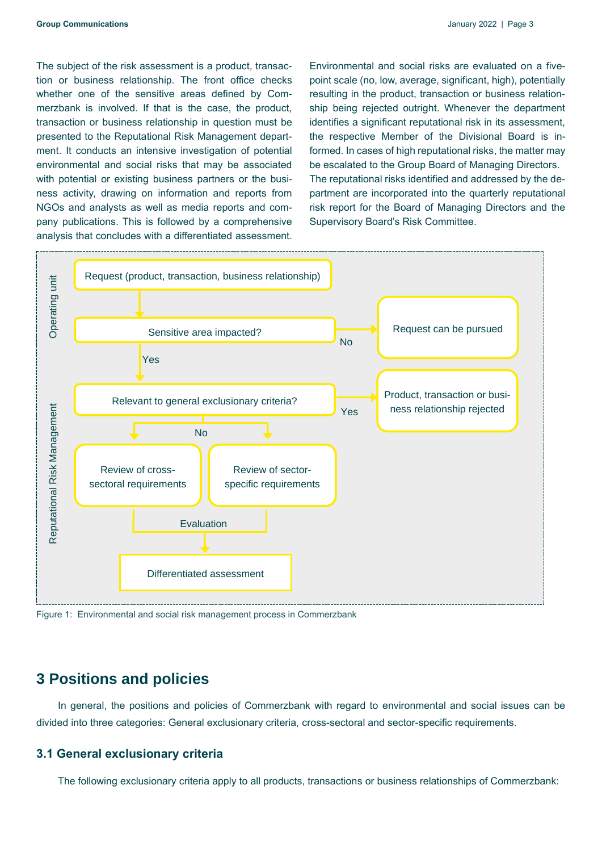The subject of the risk assessment is a product, transaction or business relationship. The front office checks whether one of the sensitive areas defined by Commerzbank is involved. If that is the case, the product, transaction or business relationship in question must be presented to the Reputational Risk Management department. It conducts an intensive investigation of potential environmental and social risks that may be associated with potential or existing business partners or the business activity, drawing on information and reports from NGOs and analysts as well as media reports and company publications. This is followed by a comprehensive analysis that concludes with a differentiated assessment. Environmental and social risks are evaluated on a fivepoint scale (no, low, average, significant, high), potentially resulting in the product, transaction or business relationship being rejected outright. Whenever the department identifies a significant reputational risk in its assessment, the respective Member of the Divisional Board is informed. In cases of high reputational risks, the matter may be escalated to the Group Board of Managing Directors. The reputational risks identified and addressed by the department are incorporated into the quarterly reputational risk report for the Board of Managing Directors and the Supervisory Board's Risk Committee.



Figure 1: Environmental and social risk management process in Commerzbank

# <span id="page-2-0"></span>**3 Positions and policies**

In general, the positions and policies of Commerzbank with regard to environmental and social issues can be divided into three categories: General exclusionary criteria, cross-sectoral and sector-specific requirements.

## <span id="page-2-1"></span>**3.1 General exclusionary criteria**

The following exclusionary criteria apply to all products, transactions or business relationships of Commerzbank: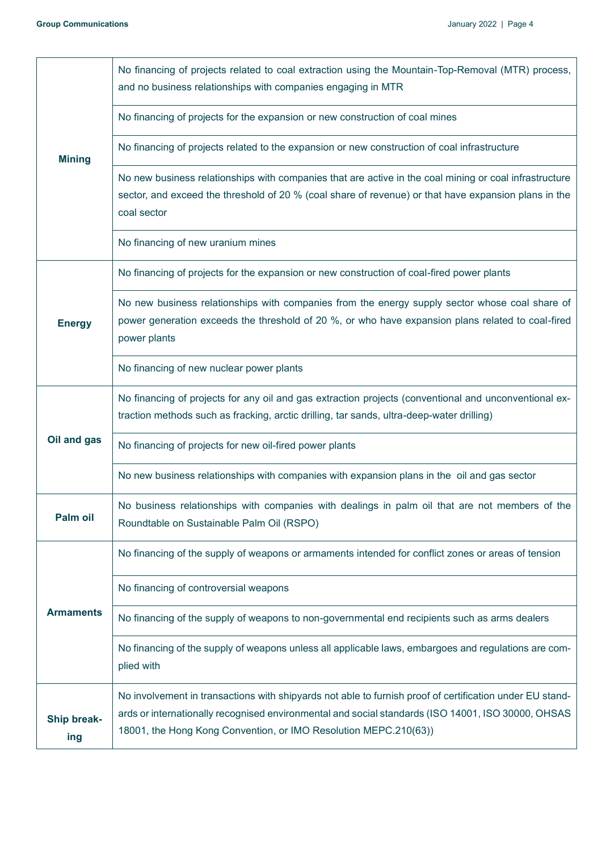| <b>Mining</b>             | No financing of projects related to coal extraction using the Mountain-Top-Removal (MTR) process,<br>and no business relationships with companies engaging in MTR                                                                                                                  |
|---------------------------|------------------------------------------------------------------------------------------------------------------------------------------------------------------------------------------------------------------------------------------------------------------------------------|
|                           | No financing of projects for the expansion or new construction of coal mines                                                                                                                                                                                                       |
|                           | No financing of projects related to the expansion or new construction of coal infrastructure                                                                                                                                                                                       |
|                           | No new business relationships with companies that are active in the coal mining or coal infrastructure<br>sector, and exceed the threshold of 20 % (coal share of revenue) or that have expansion plans in the<br>coal sector                                                      |
| <b>Energy</b>             | No financing of new uranium mines                                                                                                                                                                                                                                                  |
|                           | No financing of projects for the expansion or new construction of coal-fired power plants                                                                                                                                                                                          |
|                           | No new business relationships with companies from the energy supply sector whose coal share of<br>power generation exceeds the threshold of 20 %, or who have expansion plans related to coal-fired<br>power plants                                                                |
|                           | No financing of new nuclear power plants                                                                                                                                                                                                                                           |
| Oil and gas               | No financing of projects for any oil and gas extraction projects (conventional and unconventional ex-<br>traction methods such as fracking, arctic drilling, tar sands, ultra-deep-water drilling)                                                                                 |
|                           | No financing of projects for new oil-fired power plants                                                                                                                                                                                                                            |
|                           | No new business relationships with companies with expansion plans in the oil and gas sector                                                                                                                                                                                        |
| Palm oil                  | No business relationships with companies with dealings in palm oil that are not members of the<br>Roundtable on Sustainable Palm Oil (RSPO)                                                                                                                                        |
| <b>Armaments</b>          | No financing of the supply of weapons or armaments intended for conflict zones or areas of tension                                                                                                                                                                                 |
|                           | No financing of controversial weapons                                                                                                                                                                                                                                              |
|                           | No financing of the supply of weapons to non-governmental end recipients such as arms dealers                                                                                                                                                                                      |
|                           | No financing of the supply of weapons unless all applicable laws, embargoes and regulations are com-<br>plied with                                                                                                                                                                 |
| <b>Ship break-</b><br>ing | No involvement in transactions with shipyards not able to furnish proof of certification under EU stand-<br>ards or internationally recognised environmental and social standards (ISO 14001, ISO 30000, OHSAS<br>18001, the Hong Kong Convention, or IMO Resolution MEPC.210(63)) |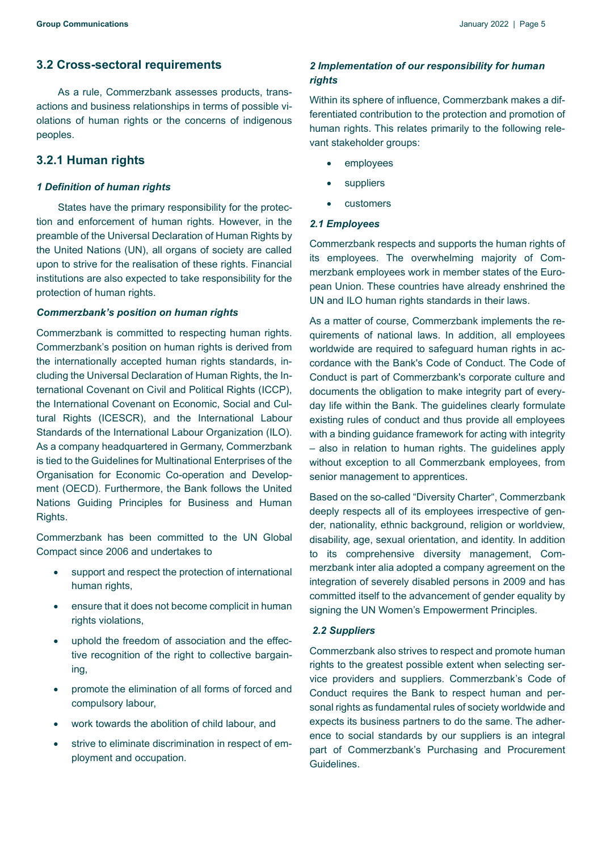# <span id="page-4-0"></span>**3.2 Cross-sectoral requirements**

As a rule, Commerzbank assesses products, transactions and business relationships in terms of possible violations of human rights or the concerns of indigenous peoples.

# <span id="page-4-1"></span>**3.2.1 Human rights**

#### *1 Definition of human rights*

States have the primary responsibility for the protection and enforcement of human rights. However, in the preamble of the Universal Declaration of Human Rights by the United Nations (UN), all organs of society are called upon to strive for the realisation of these rights. Financial institutions are also expected to take responsibility for the protection of human rights.

#### *Commerzbank's position on human rights*

Commerzbank is committed to respecting human rights. Commerzbank's position on human rights is derived from the internationally accepted human rights standards, including the Universal Declaration of Human Rights, the International Covenant on Civil and Political Rights (ICCP), the International Covenant on Economic, Social and Cultural Rights (ICESCR), and the International Labour Standards of the International Labour Organization (ILO). As a company headquartered in Germany, Commerzbank is tied to the Guidelines for Multinational Enterprises of the Organisation for Economic Co-operation and Development (OECD). Furthermore, the Bank follows the United Nations Guiding Principles for Business and Human Rights.

Commerzbank has been committed to the [UN Global](https://www.unglobalcompact.org/)  [Compact](https://www.unglobalcompact.org/) since 2006 and undertakes to

- support and respect the protection of international human rights,
- ensure that it does not become complicit in human rights violations,
- uphold the freedom of association and the effective recognition of the right to collective bargaining,
- promote the elimination of all forms of forced and compulsory labour,
- work towards the abolition of child labour, and
- strive to eliminate discrimination in respect of employment and occupation.

# *2 Implementation of our responsibility for human rights*

Within its sphere of influence, Commerzbank makes a differentiated contribution to the protection and promotion of human rights. This relates primarily to the following relevant stakeholder groups:

- employees
- **suppliers**
- customers

#### *2.1 Employees*

Commerzbank respects and supports the human rights of its employees. The overwhelming majority of Commerzbank employees work in member states of the European Union. These countries have already enshrined the UN and ILO human rights standards in their laws.

As a matter of course, Commerzbank implements the requirements of national laws. In addition, all employees worldwide are required to safeguard human rights in accordance with the Bank's [Code of Conduct.](https://www.commerzbank.de/en/nachhaltigkeit/nachhaltigkeitsstandards/verhaltensrichtlinie/Verhaltensgrundsaetze.html) The Code of Conduct is part of Commerzbank's corporate culture and documents the obligation to make integrity part of everyday life within the Bank. The guidelines clearly formulate existing rules of conduct and thus provide all employees with a binding guidance framework for acting with integrity – also in relation to human rights. The guidelines apply without exception to all Commerzbank employees, from senior management to apprentices.

Based on the so-called "Diversity Charter", Commerzbank deeply respects all of its employees irrespective of gender, nationality, ethnic background, religion or worldview, disability, age, sexual orientation, and identity. In addition to its comprehensive diversity management, Commerzbank inter alia adopted a company agreement on the integration of severely disabled persons in 2009 and has committed itself to the advancement of gender equality by signing the UN Women's Empowerment Principles.

#### *2.2 Suppliers*

Commerzbank also strives to respect and promote human rights to the greatest possible extent when selecting service providers and suppliers. Commerzbank's [Code of](https://www.commerzbank.de/en/nachhaltigkeit/nachhaltigkeitsstandards/verhaltensrichtlinie/Verhaltensgrundsaetze.html)  [Conduct](https://www.commerzbank.de/en/nachhaltigkeit/nachhaltigkeitsstandards/verhaltensrichtlinie/Verhaltensgrundsaetze.html) requires the Bank to respect human and personal rights as fundamental rules of society worldwide and expects its business partners to do the same. The adherence to social standards by our suppliers is an integral part of Commerzbank's [Purchasing and Procurement](https://www.commerzbank.de/en/nachhaltigkeit/nachhaltigkeitsstandards/nachhaltige_beschaffung/nachhaltige_beschaffung_.html)  [Guidelines.](https://www.commerzbank.de/en/nachhaltigkeit/nachhaltigkeitsstandards/nachhaltige_beschaffung/nachhaltige_beschaffung_.html)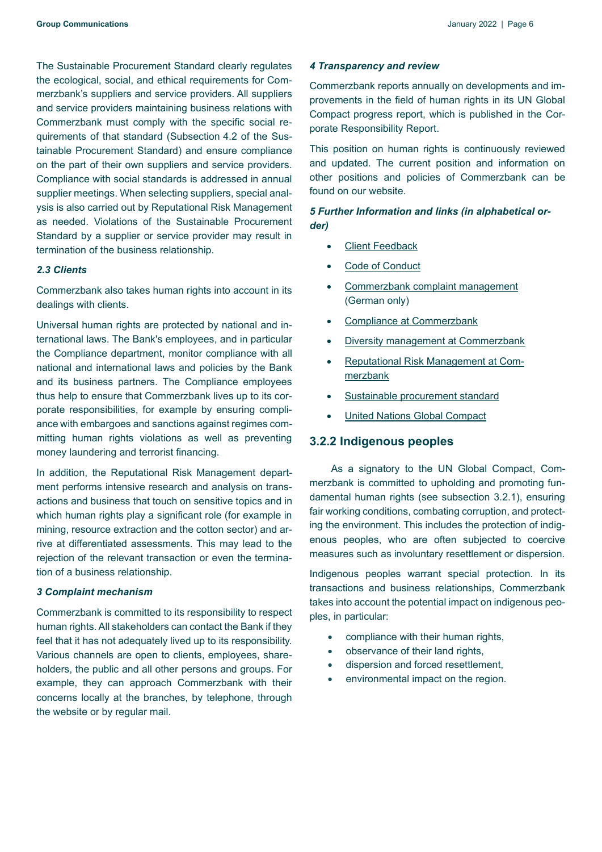The Sustainable Procurement Standard clearly regulates the ecological, social, and ethical requirements for Commerzbank's suppliers and service providers. All suppliers and service providers maintaining business relations with Commerzbank must comply with the specific social requirements of that standard (Subsection 4.2 of the [Sus](https://www.commerzbank.de/media/nachhaltigkeit/v__oekologie/Standard_fuer_eine_nachhaltige_Beschaffung_EN.pdf)[tainable Procurement Standard\)](https://www.commerzbank.de/media/nachhaltigkeit/v__oekologie/Standard_fuer_eine_nachhaltige_Beschaffung_EN.pdf) and ensure compliance on the part of their own suppliers and service providers. Compliance with social standards is addressed in annual supplier meetings. When selecting suppliers, special analysis is also carried out by Reputational Risk Management as needed. Violations of the Sustainable Procurement Standard by a supplier or service provider may result in termination of the business relationship.

#### *2.3 Clients*

Commerzbank also takes human rights into account in its dealings with clients.

Universal human rights are protected by national and international laws. The Bank's employees, and in particular the Compliance department, monitor compliance with all national and international laws and policies by the Bank and its business partners. The Compliance employees thus help to ensure that Commerzbank lives up to its corporate responsibilities, for example by ensuring compliance with embargoes and sanctions against regimes committing human rights violations as well as preventing money laundering and terrorist financing.

In addition, the Reputational Risk Management department performs intensive research and analysis on transactions and business that touch on sensitive topics and in which human rights play a significant role (for example in mining, resource extraction and the cotton sector) and arrive at differentiated assessments. This may lead to the rejection of the relevant transaction or even the termination of a business relationship.

#### *3 Complaint mechanism*

Commerzbank is committed to its responsibility to respect human rights. All stakeholders can contact the Bank if they feel that it has not adequately lived up to its responsibility. Various channels are open to clients, employees, shareholders, the public and all other persons and groups. For example, they can approach Commerzbank with their concerns locally at the branches, by telephone, through the website or by regular mail.

#### *4 Transparency and review*

Commerzbank reports annually on developments and improvements in the field of human rights in its UN Global Compact progress report, which is published in the [Cor](https://www.commerzbank.de/en/nachhaltigkeit/daten___fakten/publikationen/publikationen_3.html)[porate Responsibility Report.](https://www.commerzbank.de/en/nachhaltigkeit/daten___fakten/publikationen/publikationen_3.html)

This position on human rights is continuously reviewed and updated. The current position and information on other positions and policies of Commerzbank can be found on [our website.](https://www.commerzbank.de/en/nachhaltigkeit/nachhaltigkeitsstandards/positionen_und_richtlinien/positionen_und_richtlinien.html)

### *5 Further Information and links (in alphabetical order)*

- **[Client Feedback](https://www.commerzbank.de/en/nachhaltigkeit/markt___kunden/privatkunden_1/kundenanwalt___schlichtungsrat/kundenfeedback.html)**
- [Code of Conduct](https://www.commerzbank.de/en/nachhaltigkeit/nachhaltigkeitsstandards/verhaltensrichtlinie/Verhaltensgrundsaetze.html)
- [Commerzbank complaint management](https://www.commerzbank.de/portal/de/footer1/ihr-lob-ihre-beschwerde/ihr-lob-ihre-beschwerde.html) (German only)
- [Compliance at Commerzbank](https://www.commerzbank.de/en/nachhaltigkeit/governance/compliance_1/compliance.html)
- [Diversity management at Commerzbank](https://www.commerzbank.de/en/hauptnavigation/karriere/arbeiten_bei_der_commerzbank/diversity___/diversity.html)
- [Reputational Risk Management at Com](https://www.commerzbank.de/en/nachhaltigkeit/governance/risikomanagement/reputationsrisiko_management/reputationsrisiko_management.html)[merzbank](https://www.commerzbank.de/en/nachhaltigkeit/governance/risikomanagement/reputationsrisiko_management/reputationsrisiko_management.html)
- [Sustainable procurement standard](https://www.commerzbank.de/en/nachhaltigkeit/nachhaltigkeitsstandards/nachhaltige_beschaffung/nachhaltige_beschaffung_.html)
- [United Nations Global Compact](https://www.unglobalcompact.org/)

#### <span id="page-5-0"></span>**3.2.2 Indigenous peoples**

As a signatory to the [UN Global Compact,](https://www.commerzbank.de/en/nachhaltigkeit/nachhaltigkeitsstandards/mitgliedschaften_und_initiativen/un_global_compact/un_global_compact_1.html) Commerzbank is committed to upholding and promoting fundamental human rights (see subsection 3.2.1), ensuring fair working conditions, combating corruption, and protecting the environment. This includes the protection of indigenous peoples, who are often subjected to coercive measures such as involuntary resettlement or dispersion.

Indigenous peoples warrant special protection. In its transactions and business relationships, Commerzbank takes into account the potential impact on indigenous peoples, in particular:

- compliance with their human rights,
- observance of their land rights,
- dispersion and forced resettlement,
- environmental impact on the region.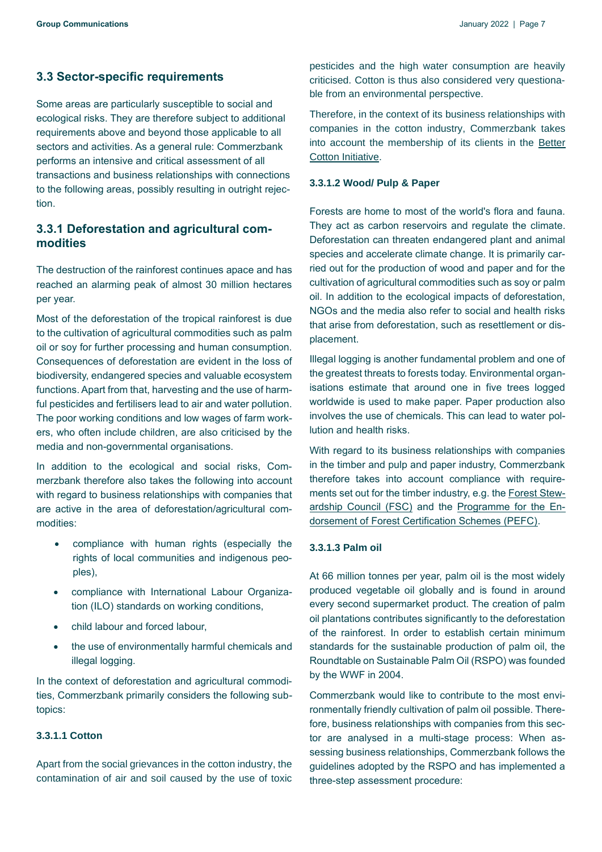# <span id="page-6-0"></span>**3.3 Sector-specific requirements**

Some areas are particularly susceptible to social and ecological risks. They are therefore subject to additional requirements above and beyond those applicable to all sectors and activities. As a general rule: Commerzbank performs an intensive and critical assessment of all transactions and business relationships with connections to the following areas, possibly resulting in outright rejection.

# <span id="page-6-1"></span>**3.3.1 Deforestation and agricultural commodities**

The destruction of the rainforest continues apace and has reached an alarming peak of almost 30 million hectares per year.

Most of the deforestation of the tropical rainforest is due to the cultivation of agricultural commodities such as palm oil or soy for further processing and human consumption. Consequences of deforestation are evident in the loss of biodiversity, endangered species and valuable ecosystem functions. Apart from that, harvesting and the use of harmful pesticides and fertilisers lead to air and water pollution. The poor working conditions and low wages of farm workers, who often include children, are also criticised by the media and non-governmental organisations.

In addition to the ecological and social risks, Commerzbank therefore also takes the following into account with regard to business relationships with companies that are active in the area of deforestation/agricultural commodities:

- compliance with human rights (especially the rights of local communities and indigenous peoples),
- compliance with [International Labour Organiza](http://www.ilo.org/dyn/normlex/en/f?p=NORMLEXPUB:12000:0::NO:::)[tion \(ILO\)](http://www.ilo.org/dyn/normlex/en/f?p=NORMLEXPUB:12000:0::NO:::) standards on working conditions,
- child labour and forced labour,
- the use of environmentally harmful chemicals and illegal logging.

In the context of deforestation and agricultural commodities, Commerzbank primarily considers the following subtopics:

# <span id="page-6-2"></span>**3.3.1.1 Cotton**

Apart from the social grievances in the cotton industry, the contamination of air and soil caused by the use of toxic pesticides and the high water consumption are heavily criticised. Cotton is thus also considered very questionable from an environmental perspective.

Therefore, in the context of its business relationships with companies in the cotton industry, Commerzbank takes into account the membership of its clients in the [Better](https://bettercotton.org/)  [Cotton Initiative.](https://bettercotton.org/)

#### <span id="page-6-3"></span>**3.3.1.2 Wood/ Pulp & Paper**

Forests are home to most of the world's flora and fauna. They act as carbon reservoirs and regulate the climate. Deforestation can threaten endangered plant and animal species and accelerate climate change. It is primarily carried out for the production of wood and paper and for the cultivation of agricultural commodities such as soy or palm oil. In addition to the ecological impacts of deforestation, NGOs and the media also refer to social and health risks that arise from deforestation, such as resettlement or displacement.

Illegal logging is another fundamental problem and one of the greatest threats to forests today. Environmental organisations estimate that around one in five trees logged worldwide is used to make paper. Paper production also involves the use of chemicals. This can lead to water pollution and health risks.

With regard to its business relationships with companies in the timber and pulp and paper industry, Commerzbank therefore takes into account compliance with requirements set out for the timber industry, e.g. the [Forest Stew](https://fsc.org/en)[ardship Council \(FSC\)](https://fsc.org/en) and the [Programme for the En](https://pefc.de/uber-pefc/international/)[dorsement of Forest Certification Schemes \(PEFC\).](https://pefc.de/uber-pefc/international/)

#### <span id="page-6-4"></span>**3.3.1.3 Palm oil**

At 66 million tonnes per year, palm oil is the most widely produced vegetable oil globally and is found in around every second supermarket product. The creation of palm oil plantations contributes significantly to the deforestation of the rainforest. In order to establish certain minimum standards for the sustainable production of palm oil, the Roundtable on Sustainable Palm Oil (RSPO) was founded by the WWF in 2004.

Commerzbank would like to contribute to the most environmentally friendly cultivation of palm oil possible. Therefore, business relationships with companies from this sector are analysed in a multi-stage process: When assessing business relationships, Commerzbank follows the guidelines adopted by the RSPO and has implemented a three-step assessment procedure: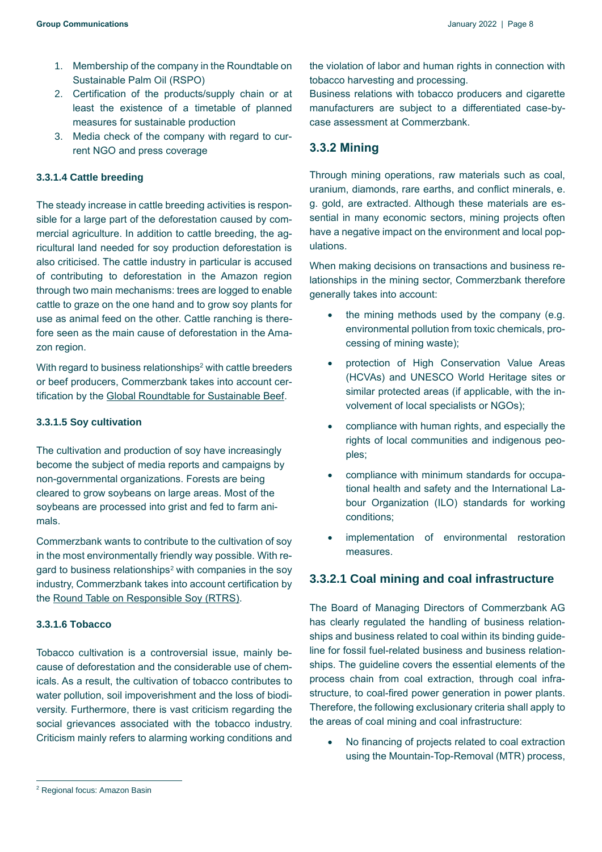- 1. Membership of the company in the Roundtable on Sustainable Palm Oil (RSPO)
- 2. Certification of the products/supply chain or at least the existence of a timetable of planned measures for sustainable production
- 3. Media check of the company with regard to current NGO and press coverage

#### <span id="page-7-0"></span>**3.3.1.4 Cattle breeding**

The steady increase in cattle breeding activities is responsible for a large part of the deforestation caused by commercial agriculture. In addition to cattle breeding, the agricultural land needed for soy production deforestation is also criticised. The cattle industry in particular is accused of contributing to deforestation in the Amazon region through two main mechanisms: trees are logged to enable cattle to graze on the one hand and to grow soy plants for use as animal feed on the other. Cattle ranching is therefore seen as the main cause of deforestation in the Amazon region.

With regard to business relationships<sup>2</sup> with cattle breeders or beef producers, Commerzbank takes into account certification by the [Global Roundtable for Sustainable Beef.](https://grsbeef.org/)

#### <span id="page-7-1"></span>**3.3.1.5 Soy cultivation**

The cultivation and production of soy have increasingly become the subject of media reports and campaigns by non-governmental organizations. Forests are being cleared to grow soybeans on large areas. Most of the soybeans are processed into grist and fed to farm animals.

Commerzbank wants to contribute to the cultivation of soy in the most environmentally friendly way possible. With regard to business relationships<sup>2</sup> with companies in the soy industry, Commerzbank takes into account certification by the [Round Table on Responsible Soy \(RTRS\)](https://responsiblesoy.org/?lang=en).

## <span id="page-7-2"></span>**3.3.1.6 Tobacco**

Tobacco cultivation is a controversial issue, mainly because of deforestation and the considerable use of chemicals. As a result, the cultivation of tobacco contributes to water pollution, soil impoverishment and the loss of biodiversity. Furthermore, there is vast criticism regarding the social grievances associated with the tobacco industry. Criticism mainly refers to alarming working conditions and the violation of labor and human rights in connection with tobacco harvesting and processing.

Business relations with tobacco producers and cigarette manufacturers are subject to a differentiated case-bycase assessment at Commerzbank.

# <span id="page-7-3"></span>**3.3.2 Mining**

Through mining operations, raw materials such as coal, uranium, diamonds, rare earths, and conflict minerals, e. g. gold, are extracted. Although these materials are essential in many economic sectors, mining projects often have a negative impact on the environment and local populations.

When making decisions on transactions and business relationships in the mining sector, Commerzbank therefore generally takes into account:

- the mining methods used by the company (e.g. environmental pollution from toxic chemicals, processing of mining waste);
- protection of High Conservation Value Areas (HCVAs) and UNESCO World Heritage sites or similar protected areas (if applicable, with the involvement of local specialists or NGOs);
- compliance with human rights, and especially the rights of local communities and indigenous peoples;
- compliance with minimum standards for occupational health and safety and the [International La](http://www.ilo.org/dyn/normlex/en/f?p=NORMLEXPUB:12000:0::NO:::)[bour Organization \(ILO\)](http://www.ilo.org/dyn/normlex/en/f?p=NORMLEXPUB:12000:0::NO:::) standards for working conditions;
- implementation of environmental restoration measures.

# <span id="page-7-4"></span>**3.3.2.1 Coal mining and coal infrastructure**

The Board of Managing Directors of Commerzbank AG has clearly regulated the handling of business relationships and business related to coal within its binding guideline for fossil fuel-related business and business relationships. The guideline covers the essential elements of the process chain from coal extraction, through coal infrastructure, to coal-fired power generation in power plants. Therefore, the following exclusionary criteria shall apply to the areas of coal mining and coal infrastructure:

• No financing of projects related to coal extraction using the Mountain-Top-Removal (MTR) process,

<sup>2</sup> Regional focus: Amazon Basin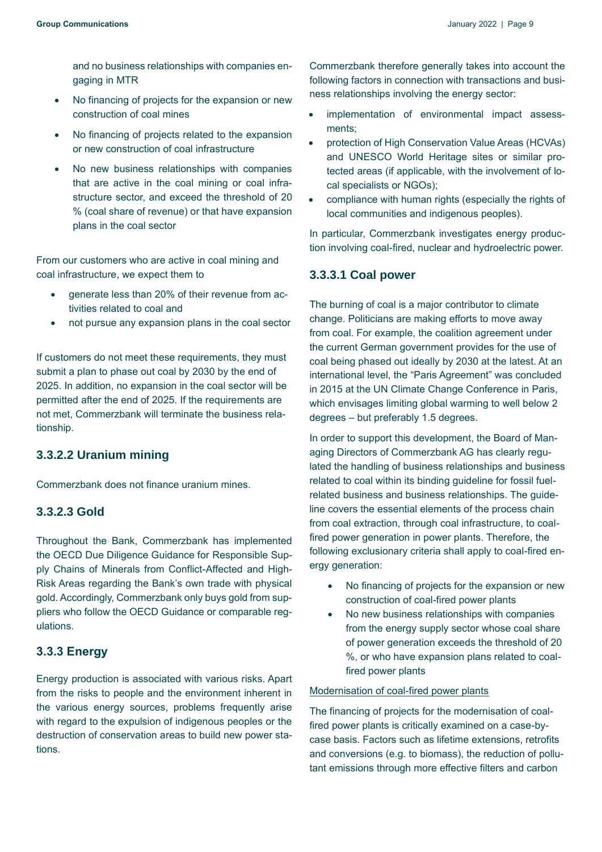and no business relationships with companies engaging in MTR

- No financing of projects for the expansion or new construction of coal mines
- No financing of projects related to the expansion or new construction of coal infrastructure
- No new business relationships with companies that are active in the coal mining or coal infrastructure sector, and exceed the threshold of 20 % (coal share of revenue) or that have expansion plans in the coal sector

From our customers who are active in coal mining and coal infrastructure, we expect them to

- generate less than 20% of their revenue from activities related to coal and
- not pursue any expansion plans in the coal sector

If customers do not meet these requirements, they must submit a plan to phase out coal by 2030 by the end of 2025. In addition, no expansion in the coal sector will be permitted after the end of 2025. If the requirements are not met, Commerzbank will terminate the business relationship.

# <span id="page-8-0"></span>**3.3.2.2 Uranium mining**

<span id="page-8-1"></span>Commerzbank does not finance uranium mines.

# **3.3.2.3 Gold**

Throughout the Bank, Commerzbank has implemented the OECD Due Diligence Guidance for Responsible Supply Chains of Minerals from Conflict-Affected and High-Risk Areas regarding the Bank's own trade with physical gold. Accordingly, Commerzbank only buys gold from suppliers who follow the OECD Guidance or comparable regulations.

# <span id="page-8-2"></span>**3.3.3 Energy**

Energy production is associated with various risks. Apart from the risks to people and the environment inherent in the various energy sources, problems frequently arise with regard to the expulsion of indigenous peoples or the destruction of conservation areas to build new power stations.

Commerzbank therefore generally takes into account the following factors in connection with transactions and business relationships involving the energy sector:

- implementation of environmental impact assessments;
- protection of High Conservation Value Areas (HCVAs) and UNESCO World Heritage sites or similar protected areas (if applicable, with the involvement of local specialists or NGOs);
- compliance with human rights (especially the rights of local communities and indigenous peoples).

In particular, Commerzbank investigates energy production involving coal-fired, nuclear and hydroelectric power.

## <span id="page-8-3"></span>**3.3.3.1 Coal power**

The burning of coal is a major contributor to climate change. Politicians are making efforts to move away from coal. For example, the coalition agreement under the current German government provides for the use of coal being phased out ideally by 2030 at the latest. At an international level, the "Paris Agreement" was concluded in 2015 at the UN Climate Change Conference in Paris, which envisages limiting global warming to well below 2 degrees – but preferably 1.5 degrees.

In order to support this development, the Board of Managing Directors of Commerzbank AG has clearly regulated the handling of business relationships and business related to coal within its binding guideline for fossil fuelrelated business and business relationships. The guideline covers the essential elements of the process chain from coal extraction, through coal infrastructure, to coalfired power generation in power plants. Therefore, the following exclusionary criteria shall apply to coal-fired energy generation:

- No financing of projects for the expansion or new construction of coal-fired power plants
- No new business relationships with companies from the energy supply sector whose coal share of power generation exceeds the threshold of 20 %, or who have expansion plans related to coalfired power plants

## Modernisation of coal-fired power plants

The financing of projects for the modernisation of coalfired power plants is critically examined on a case-bycase basis. Factors such as lifetime extensions, retrofits and conversions (e.g. to biomass), the reduction of pollutant emissions through more effective filters and carbon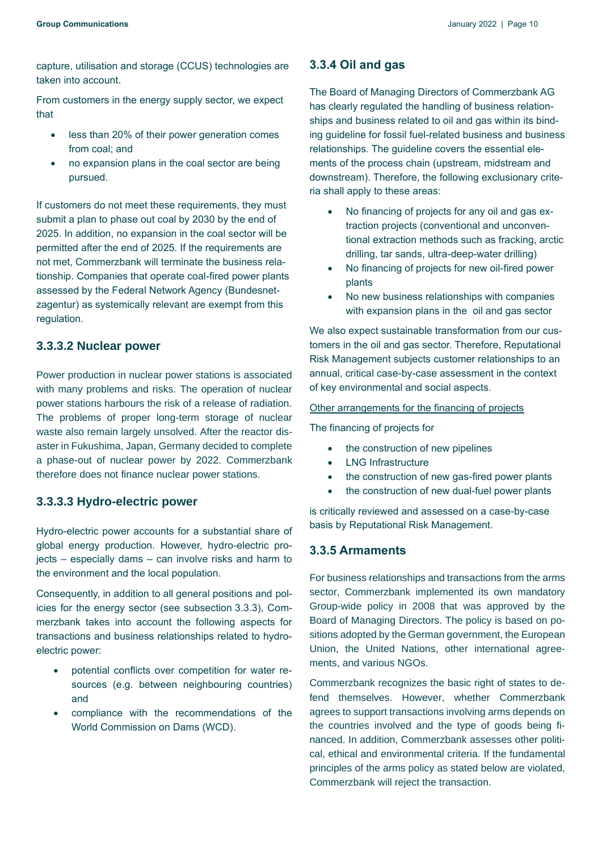capture, utilisation and storage (CCUS) technologies are taken into account.

From customers in the energy supply sector, we expect that

- less than 20% of their power generation comes from coal; and
- no expansion plans in the coal sector are being pursued.

If customers do not meet these requirements, they must submit a plan to phase out coal by 2030 by the end of 2025. In addition, no expansion in the coal sector will be permitted after the end of 2025. If the requirements are not met, Commerzbank will terminate the business relationship. Companies that operate coal-fired power plants assessed by the Federal Network Agency (Bundesnetzagentur) as systemically relevant are exempt from this regulation.

# <span id="page-9-0"></span>**3.3.3.2 Nuclear power**

Power production in nuclear power stations is associated with many problems and risks. The operation of nuclear power stations harbours the risk of a release of radiation. The problems of proper long-term storage of nuclear waste also remain largely unsolved. After the reactor disaster in Fukushima, Japan, Germany decided to complete a phase-out of nuclear power by 2022. Commerzbank therefore does not finance nuclear power stations.

# <span id="page-9-1"></span>**3.3.3.3 Hydro-electric power**

Hydro-electric power accounts for a substantial share of global energy production. However, hydro-electric projects – especially dams – can involve risks and harm to the environment and the local population.

Consequently, in addition to all general positions and policies for the energy sector (see subsection 3.3.3), Commerzbank takes into account the following aspects for transactions and business relationships related to hydroelectric power:

- potential conflicts over competition for water resources (e.g. between neighbouring countries) and
- compliance with the recommendations of the World Commission on Dams (WCD).

# <span id="page-9-2"></span>**3.3.4 Oil and gas**

The Board of Managing Directors of Commerzbank AG has clearly regulated the handling of business relationships and business related to oil and gas within its binding guideline for fossil fuel-related business and business relationships. The guideline covers the essential elements of the process chain (upstream, midstream and downstream). Therefore, the following exclusionary criteria shall apply to these areas:

- No financing of projects for any oil and gas extraction projects (conventional and unconventional extraction methods such as fracking, arctic drilling, tar sands, ultra-deep-water drilling)
- No financing of projects for new oil-fired power plants
- No new business relationships with companies with expansion plans in the oil and gas sector

We also expect sustainable transformation from our customers in the oil and gas sector. Therefore, Reputational Risk Management subjects customer relationships to an annual, critical case-by-case assessment in the context of key environmental and social aspects.

#### Other arrangements for the financing of projects

The financing of projects for

- the construction of new pipelines
- LNG Infrastructure
- the construction of new gas-fired power plants
- the construction of new dual-fuel power plants

is critically reviewed and assessed on a case-by-case basis by Reputational Risk Management.

# <span id="page-9-3"></span>**3.3.5 Armaments**

For business relationships and transactions from the arms sector, Commerzbank implemented its own mandatory Group-wide policy in 2008 that was approved by the Board of Managing Directors. The policy is based on positions adopted by the German government, the European Union, the United Nations, other international agreements, and various NGOs.

Commerzbank recognizes the basic right of states to defend themselves. However, whether Commerzbank agrees to support transactions involving arms depends on the countries involved and the type of goods being financed. In addition, Commerzbank assesses other political, ethical and environmental criteria. If the fundamental principles of the arms policy as stated below are violated, Commerzbank will reject the transaction.